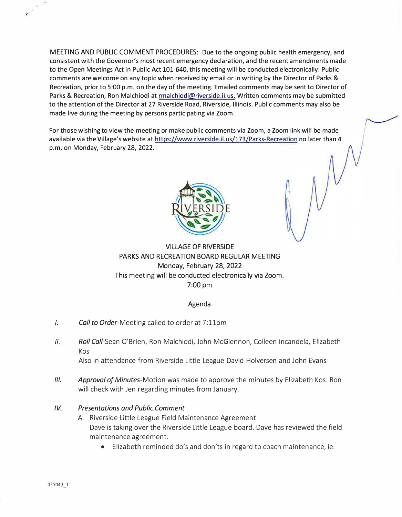MEETING AND PUBLIC COMMENT PROCEDURES: Due to the ongoing public health emergency, and consistent with the Governor's most recent emergency declaration, and the recent amendments made to the Open Meetings Act in Public Act 101-640, this meeting will be conducted electronically. Public comments are welcome on any topic when received by email or in writing by the Director of Parks & Recreation, prior to 5:00 p.m. on the day of the meeting. Emailed comments may be sent to Director of Parks & Recreation, Ron Malchiodi at rmalchiodi@riverside.il.us. Written comments may be submitted to the attention of the Director at 27 Riverside Road, Riverside, Illinois. Public comments may also be made live during the meeting by persons participating via Zoom.

For those wishing to view the meeting or make public comments via Zoom, a Zoom link will be made available via the Village's website at https://www.riverside.il.us/173/Parks-Recreation no later than 4 p.m. on Monday, February 28, 2022.



# VILLAGE OF RIVERSIDE PARKS AND RECREATION BOARD REGULAR MEETING Monday, February 28, 2022 This meeting will be conducted electronically via Zoom. 7:00 pm

### Agenda

- *I. Call to* Order-Meeting called to order at 7:11pm
- *II. Roll Call-Sean O'Brien, Ron Malchiodi, John McGlennon, Colleen Incandela, Elizabeth* Kos Also in attendance from Riverside Little League David Holversen and John Evans
- *Ill. Approval of Minutes-Motion* was made to approve the minutes by Elizabeth Kos. Ron will check with Jen regarding minutes from January.

### *IV. Presentations and Public Comment*

- A. Riverside Little League Field Maintenance Agreement Dave is taking over the Riverside Little League board. Dave has reviewed the field maintenance agreement.
	- Elizabeth reminded do's and don'ts in regard to coach maintenance, ie.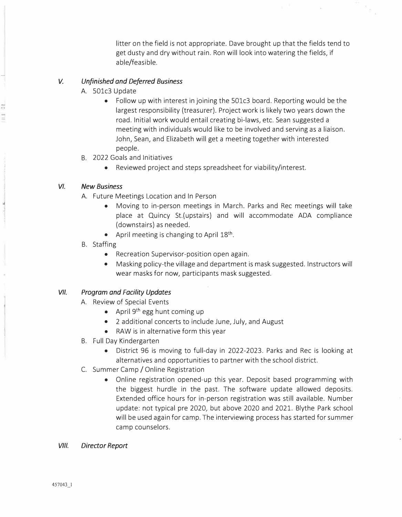litter on the field is not appropriate. Dave brought up that the fields tend to get dusty and dry without rain. Ron will look into watering the fields, if able/feasible.

#### *V. Unfinished and Deferred Business*

A. 501c3 Update

.....

-- Fa

- Follow up with interest in joining the 501c3 board. Reporting would be the largest responsibility (treasurer). Project work is likely two years down the road. Initial work would entail creating bi-laws, etc. Sean suggested a meeting with individuals would like to be involved and serving as a liaison. John, Sean, and Elizabeth will get a meeting together with interested people.
- B. 2022 Goals and Initiatives
	- Reviewed project and steps spreadsheet for viability/interest.

#### *VI. New Business*

- A. Future Meetings Location and In Person
	- Moving to in-person meetings in March. Parks and Rec meetings will take place at Quincy St.(upstairs) and will accommodate ADA compliance (downstairs) as needed.
	- April meeting is changing to April  $18<sup>th</sup>$ . .
- B. Staffing
	- Recreation Supervisor-position open again.
	- Masking policy-the village and department is mask suggested. Instructors will wear masks for now, participants mask suggested.

## *VII. Program and Facility Updates*

- A. Review of Special Events
	- April  $9<sup>th</sup>$  egg hunt coming up
	- 2 additional concerts to include June, July, and August
	- RAW is in alternative form this year
- B. Full Day Kindergarten
	- District 96 is moving to full-day in 2022-2023. Parks and Rec is looking at alternatives and opportunities to partner with the school district.
- C. Summer Camp / Online Registration
	- Online registration opened-up this year. Deposit based programming with the biggest hurdle in the past. The software update allowed deposits. Extended office hours for in-person registration was still available. Number update: not typical pre 2020, but above 2020 and 2021. Blythe Park school will be used again for camp. The interviewing process has started for summer camp counselors.

### *VIII. Director Report*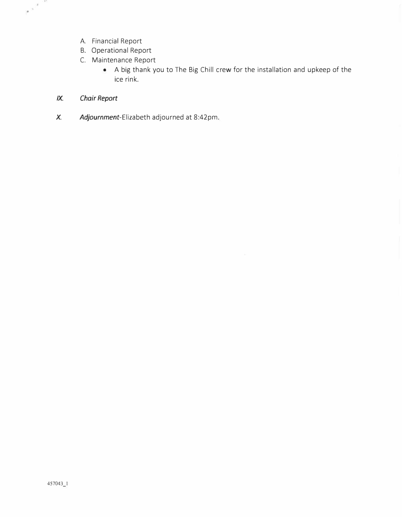- A. Financial Report
- B. Operational Report
- C. Maintenance Report
	- A big thank you to The Big Chill crew for the installation and upkeep of the ice rink.
- *IX. Chair Report*

 $e^{\pm \frac{2}{\hbar} \beta}$ 

*X. Adjournment-Elizabeth* adjourned at 8:42pm.